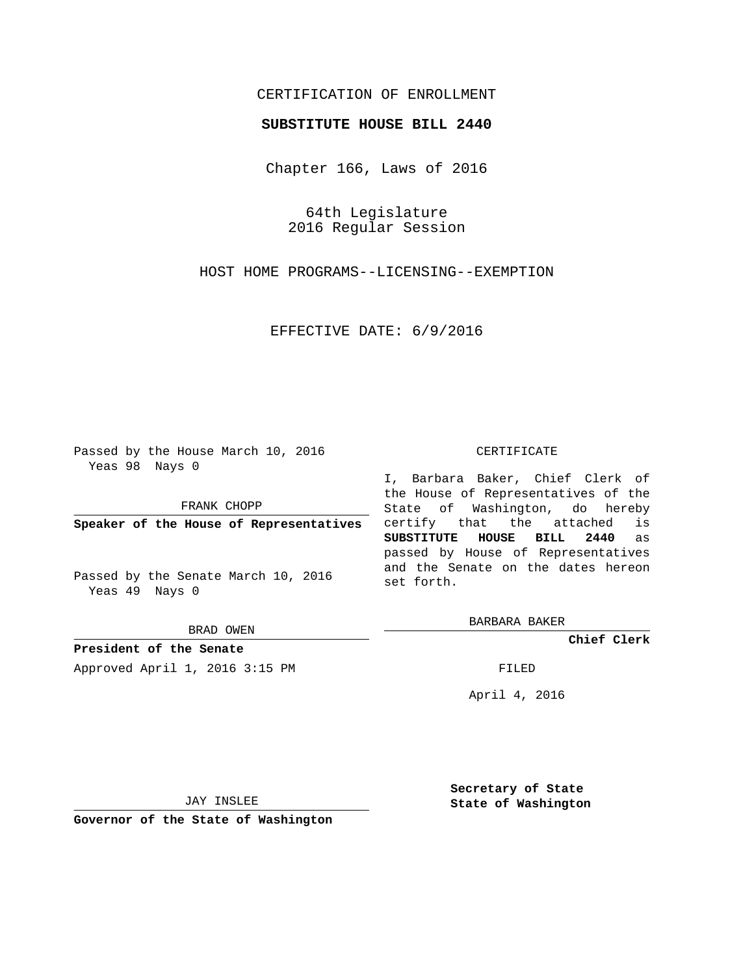# CERTIFICATION OF ENROLLMENT

## **SUBSTITUTE HOUSE BILL 2440**

Chapter 166, Laws of 2016

64th Legislature 2016 Regular Session

HOST HOME PROGRAMS--LICENSING--EXEMPTION

EFFECTIVE DATE: 6/9/2016

Passed by the House March 10, 2016 Yeas 98 Nays 0

FRANK CHOPP

**Speaker of the House of Representatives**

Passed by the Senate March 10, 2016 Yeas 49 Nays 0

BRAD OWEN

**President of the Senate**

Approved April 1, 2016 3:15 PM FILED

#### CERTIFICATE

I, Barbara Baker, Chief Clerk of the House of Representatives of the State of Washington, do hereby certify that the attached is **SUBSTITUTE HOUSE BILL 2440** as passed by House of Representatives and the Senate on the dates hereon set forth.

BARBARA BAKER

**Chief Clerk**

April 4, 2016

JAY INSLEE

**Governor of the State of Washington**

**Secretary of State State of Washington**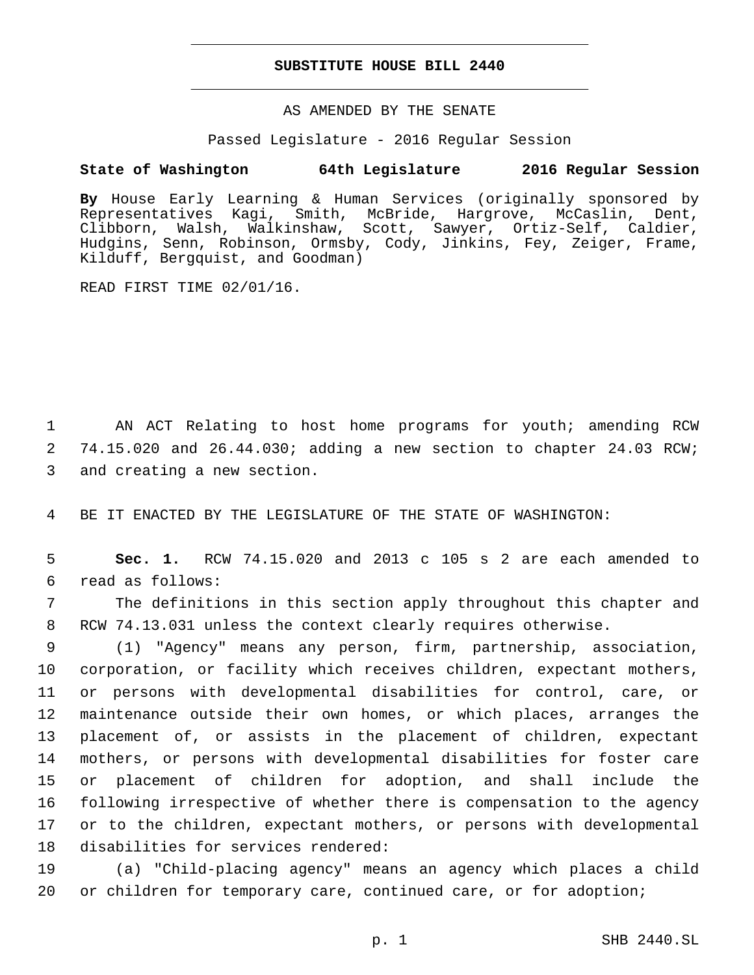## **SUBSTITUTE HOUSE BILL 2440**

AS AMENDED BY THE SENATE

Passed Legislature - 2016 Regular Session

### **State of Washington 64th Legislature 2016 Regular Session**

**By** House Early Learning & Human Services (originally sponsored by Representatives Kagi, Smith, McBride, Hargrove, McCaslin, Dent, Clibborn, Walsh, Walkinshaw, Scott, Sawyer, Ortiz-Self, Caldier, Hudgins, Senn, Robinson, Ormsby, Cody, Jinkins, Fey, Zeiger, Frame, Kilduff, Bergquist, and Goodman)

READ FIRST TIME 02/01/16.

1 AN ACT Relating to host home programs for youth; amending RCW 2 74.15.020 and 26.44.030; adding a new section to chapter 24.03 RCW; 3 and creating a new section.

4 BE IT ENACTED BY THE LEGISLATURE OF THE STATE OF WASHINGTON:

5 **Sec. 1.** RCW 74.15.020 and 2013 c 105 s 2 are each amended to read as follows:6

7 The definitions in this section apply throughout this chapter and 8 RCW 74.13.031 unless the context clearly requires otherwise.

 (1) "Agency" means any person, firm, partnership, association, corporation, or facility which receives children, expectant mothers, or persons with developmental disabilities for control, care, or maintenance outside their own homes, or which places, arranges the placement of, or assists in the placement of children, expectant mothers, or persons with developmental disabilities for foster care or placement of children for adoption, and shall include the following irrespective of whether there is compensation to the agency or to the children, expectant mothers, or persons with developmental 18 disabilities for services rendered:

19 (a) "Child-placing agency" means an agency which places a child 20 or children for temporary care, continued care, or for adoption;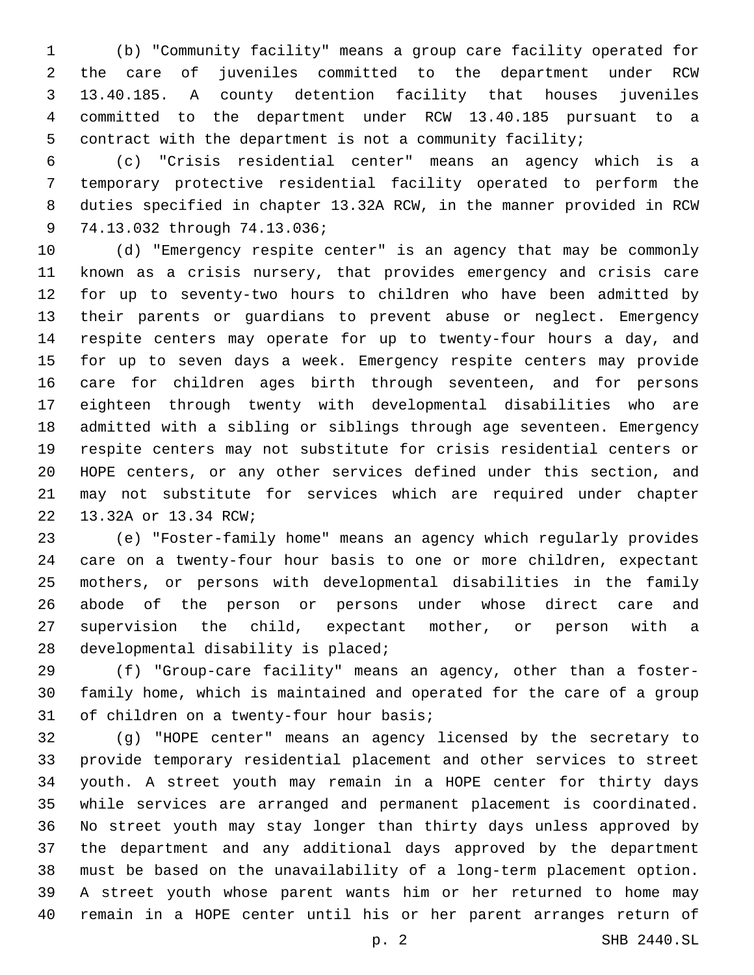(b) "Community facility" means a group care facility operated for the care of juveniles committed to the department under RCW 13.40.185. A county detention facility that houses juveniles committed to the department under RCW 13.40.185 pursuant to a contract with the department is not a community facility;

 (c) "Crisis residential center" means an agency which is a temporary protective residential facility operated to perform the duties specified in chapter 13.32A RCW, in the manner provided in RCW 9 74.13.032 through 74.13.036;

 (d) "Emergency respite center" is an agency that may be commonly known as a crisis nursery, that provides emergency and crisis care for up to seventy-two hours to children who have been admitted by their parents or guardians to prevent abuse or neglect. Emergency respite centers may operate for up to twenty-four hours a day, and for up to seven days a week. Emergency respite centers may provide care for children ages birth through seventeen, and for persons eighteen through twenty with developmental disabilities who are admitted with a sibling or siblings through age seventeen. Emergency respite centers may not substitute for crisis residential centers or HOPE centers, or any other services defined under this section, and may not substitute for services which are required under chapter 22 13.32A or 13.34 RCW;

 (e) "Foster-family home" means an agency which regularly provides care on a twenty-four hour basis to one or more children, expectant mothers, or persons with developmental disabilities in the family abode of the person or persons under whose direct care and supervision the child, expectant mother, or person with a 28 developmental disability is placed;

 (f) "Group-care facility" means an agency, other than a foster- family home, which is maintained and operated for the care of a group 31 of children on a twenty-four hour basis;

 (g) "HOPE center" means an agency licensed by the secretary to provide temporary residential placement and other services to street youth. A street youth may remain in a HOPE center for thirty days while services are arranged and permanent placement is coordinated. No street youth may stay longer than thirty days unless approved by the department and any additional days approved by the department must be based on the unavailability of a long-term placement option. A street youth whose parent wants him or her returned to home may remain in a HOPE center until his or her parent arranges return of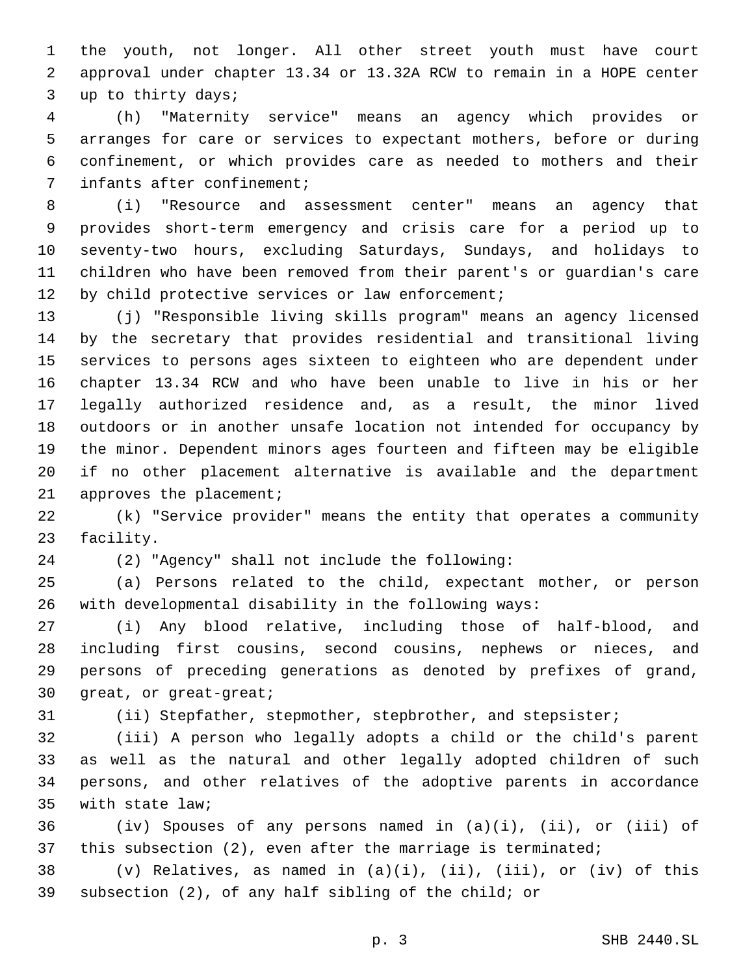the youth, not longer. All other street youth must have court approval under chapter 13.34 or 13.32A RCW to remain in a HOPE center 3 up to thirty days;

 (h) "Maternity service" means an agency which provides or arranges for care or services to expectant mothers, before or during confinement, or which provides care as needed to mothers and their 7 infants after confinement;

 (i) "Resource and assessment center" means an agency that provides short-term emergency and crisis care for a period up to seventy-two hours, excluding Saturdays, Sundays, and holidays to children who have been removed from their parent's or guardian's care 12 by child protective services or law enforcement;

 (j) "Responsible living skills program" means an agency licensed by the secretary that provides residential and transitional living services to persons ages sixteen to eighteen who are dependent under chapter 13.34 RCW and who have been unable to live in his or her legally authorized residence and, as a result, the minor lived outdoors or in another unsafe location not intended for occupancy by the minor. Dependent minors ages fourteen and fifteen may be eligible if no other placement alternative is available and the department 21 approves the placement;

 (k) "Service provider" means the entity that operates a community 23 facility.

(2) "Agency" shall not include the following:24

 (a) Persons related to the child, expectant mother, or person with developmental disability in the following ways:

 (i) Any blood relative, including those of half-blood, and including first cousins, second cousins, nephews or nieces, and persons of preceding generations as denoted by prefixes of grand, 30 great, or great-great;

(ii) Stepfather, stepmother, stepbrother, and stepsister;

 (iii) A person who legally adopts a child or the child's parent as well as the natural and other legally adopted children of such persons, and other relatives of the adoptive parents in accordance 35 with state law;

 (iv) Spouses of any persons named in (a)(i), (ii), or (iii) of 37 this subsection (2), even after the marriage is terminated;

38 (v) Relatives, as named in  $(a)(i)$ ,  $(ii)$ ,  $(iii)$ , or  $(iv)$  of this subsection (2), of any half sibling of the child; or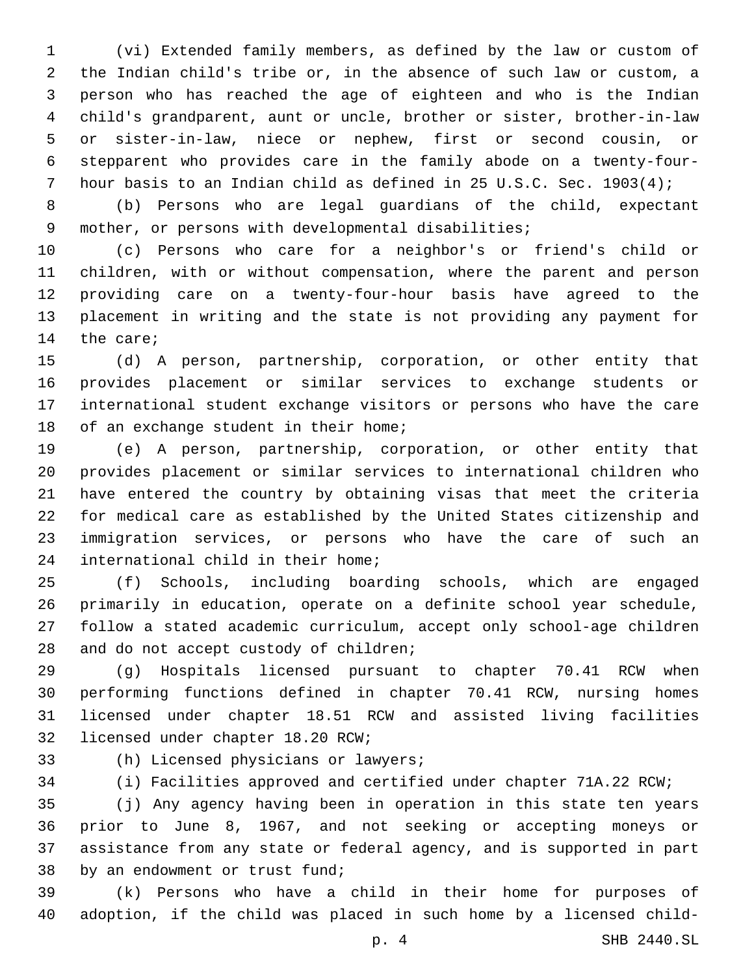(vi) Extended family members, as defined by the law or custom of the Indian child's tribe or, in the absence of such law or custom, a person who has reached the age of eighteen and who is the Indian child's grandparent, aunt or uncle, brother or sister, brother-in-law or sister-in-law, niece or nephew, first or second cousin, or stepparent who provides care in the family abode on a twenty-four-hour basis to an Indian child as defined in 25 U.S.C. Sec. 1903(4);

 (b) Persons who are legal guardians of the child, expectant mother, or persons with developmental disabilities;

 (c) Persons who care for a neighbor's or friend's child or children, with or without compensation, where the parent and person providing care on a twenty-four-hour basis have agreed to the placement in writing and the state is not providing any payment for 14 the care;

 (d) A person, partnership, corporation, or other entity that provides placement or similar services to exchange students or international student exchange visitors or persons who have the care 18 of an exchange student in their home;

 (e) A person, partnership, corporation, or other entity that provides placement or similar services to international children who have entered the country by obtaining visas that meet the criteria for medical care as established by the United States citizenship and immigration services, or persons who have the care of such an 24 international child in their home;

 (f) Schools, including boarding schools, which are engaged primarily in education, operate on a definite school year schedule, follow a stated academic curriculum, accept only school-age children 28 and do not accept custody of children;

 (g) Hospitals licensed pursuant to chapter 70.41 RCW when performing functions defined in chapter 70.41 RCW, nursing homes licensed under chapter 18.51 RCW and assisted living facilities 32 licensed under chapter 18.20 RCW;

- 
- 33 (h) Licensed physicians or lawyers;

(i) Facilities approved and certified under chapter 71A.22 RCW;

 (j) Any agency having been in operation in this state ten years prior to June 8, 1967, and not seeking or accepting moneys or assistance from any state or federal agency, and is supported in part 38 by an endowment or trust fund;

 (k) Persons who have a child in their home for purposes of adoption, if the child was placed in such home by a licensed child-

p. 4 SHB 2440.SL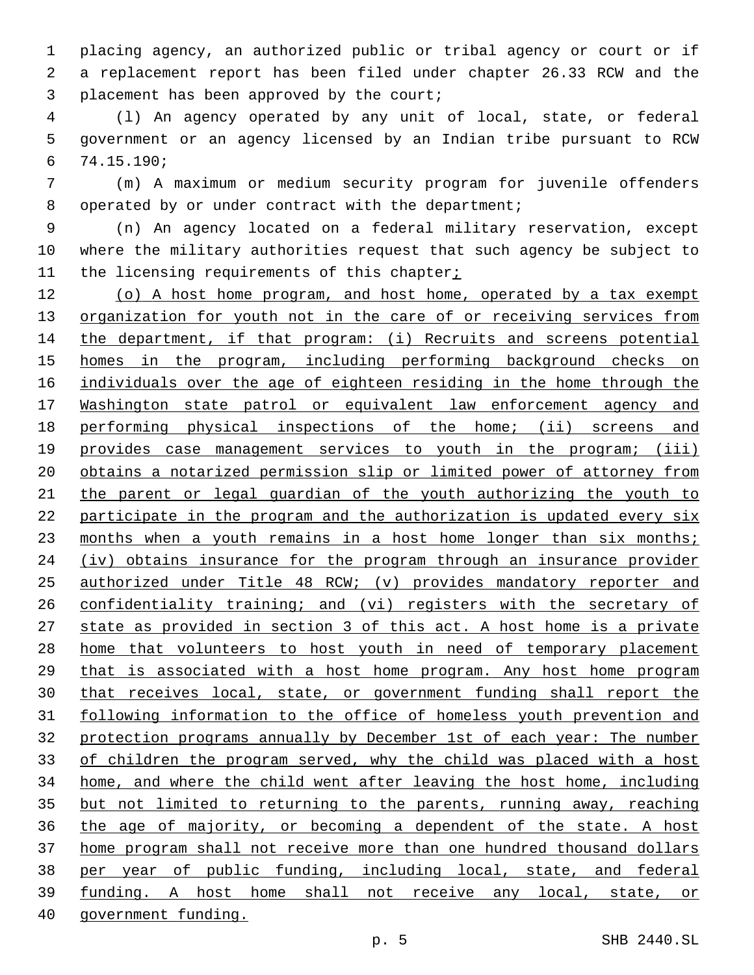placing agency, an authorized public or tribal agency or court or if a replacement report has been filed under chapter 26.33 RCW and the 3 placement has been approved by the court;

 (l) An agency operated by any unit of local, state, or federal government or an agency licensed by an Indian tribe pursuant to RCW 74.15.190;6

 (m) A maximum or medium security program for juvenile offenders 8 operated by or under contract with the department;

 (n) An agency located on a federal military reservation, except where the military authorities request that such agency be subject to 11 the licensing requirements of this chapter;

12 (o) A host home program, and host home, operated by a tax exempt 13 organization for youth not in the care of or receiving services from 14 the department, if that program: (i) Recruits and screens potential 15 homes in the program, including performing background checks on individuals over the age of eighteen residing in the home through the Washington state patrol or equivalent law enforcement agency and performing physical inspections of the home; (ii) screens and 19 provides case management services to youth in the program; (iii) obtains a notarized permission slip or limited power of attorney from the parent or legal guardian of the youth authorizing the youth to participate in the program and the authorization is updated every six 23 months when a youth remains in a host home longer than six months; (iv) obtains insurance for the program through an insurance provider authorized under Title 48 RCW; (v) provides mandatory reporter and 26 confidentiality training; and (vi) registers with the secretary of state as provided in section 3 of this act. A host home is a private home that volunteers to host youth in need of temporary placement that is associated with a host home program. Any host home program that receives local, state, or government funding shall report the following information to the office of homeless youth prevention and protection programs annually by December 1st of each year: The number of children the program served, why the child was placed with a host home, and where the child went after leaving the host home, including but not limited to returning to the parents, running away, reaching the age of majority, or becoming a dependent of the state. A host home program shall not receive more than one hundred thousand dollars per year of public funding, including local, state, and federal funding. A host home shall not receive any local, state, or government funding.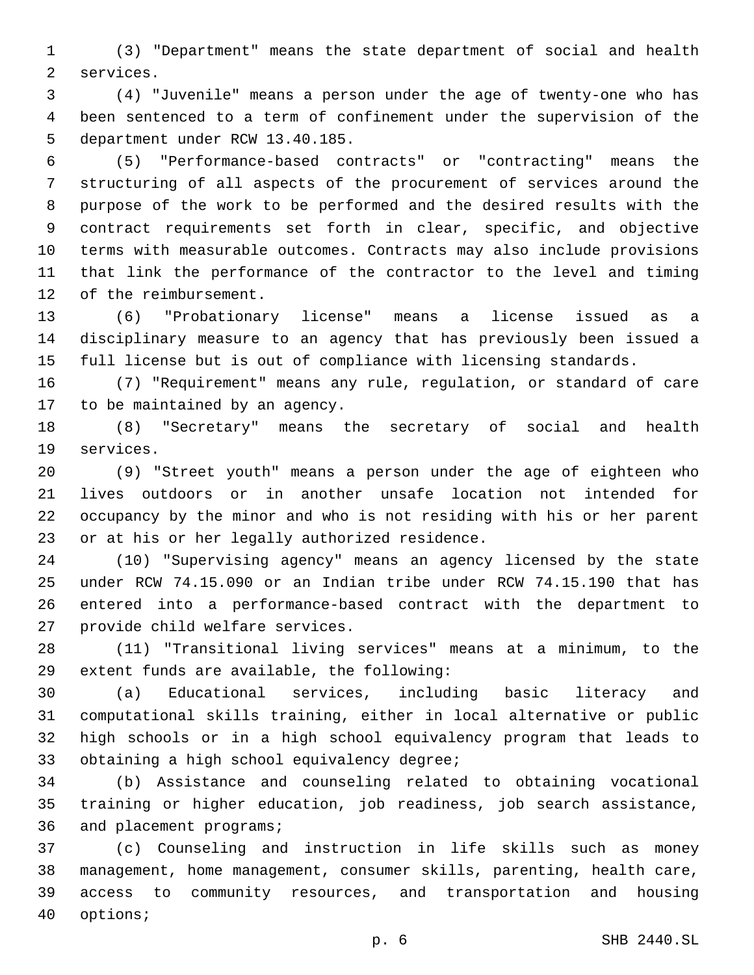(3) "Department" means the state department of social and health 2 services.

 (4) "Juvenile" means a person under the age of twenty-one who has been sentenced to a term of confinement under the supervision of the 5 department under RCW 13.40.185.

 (5) "Performance-based contracts" or "contracting" means the structuring of all aspects of the procurement of services around the purpose of the work to be performed and the desired results with the contract requirements set forth in clear, specific, and objective terms with measurable outcomes. Contracts may also include provisions that link the performance of the contractor to the level and timing 12 of the reimbursement.

 (6) "Probationary license" means a license issued as a disciplinary measure to an agency that has previously been issued a full license but is out of compliance with licensing standards.

 (7) "Requirement" means any rule, regulation, or standard of care 17 to be maintained by an agency.

 (8) "Secretary" means the secretary of social and health 19 services.

 (9) "Street youth" means a person under the age of eighteen who lives outdoors or in another unsafe location not intended for occupancy by the minor and who is not residing with his or her parent 23 or at his or her legally authorized residence.

 (10) "Supervising agency" means an agency licensed by the state under RCW 74.15.090 or an Indian tribe under RCW 74.15.190 that has entered into a performance-based contract with the department to 27 provide child welfare services.

 (11) "Transitional living services" means at a minimum, to the 29 extent funds are available, the following:

 (a) Educational services, including basic literacy and computational skills training, either in local alternative or public high schools or in a high school equivalency program that leads to 33 obtaining a high school equivalency degree;

 (b) Assistance and counseling related to obtaining vocational training or higher education, job readiness, job search assistance, 36 and placement programs;

 (c) Counseling and instruction in life skills such as money management, home management, consumer skills, parenting, health care, access to community resources, and transportation and housing 40 options;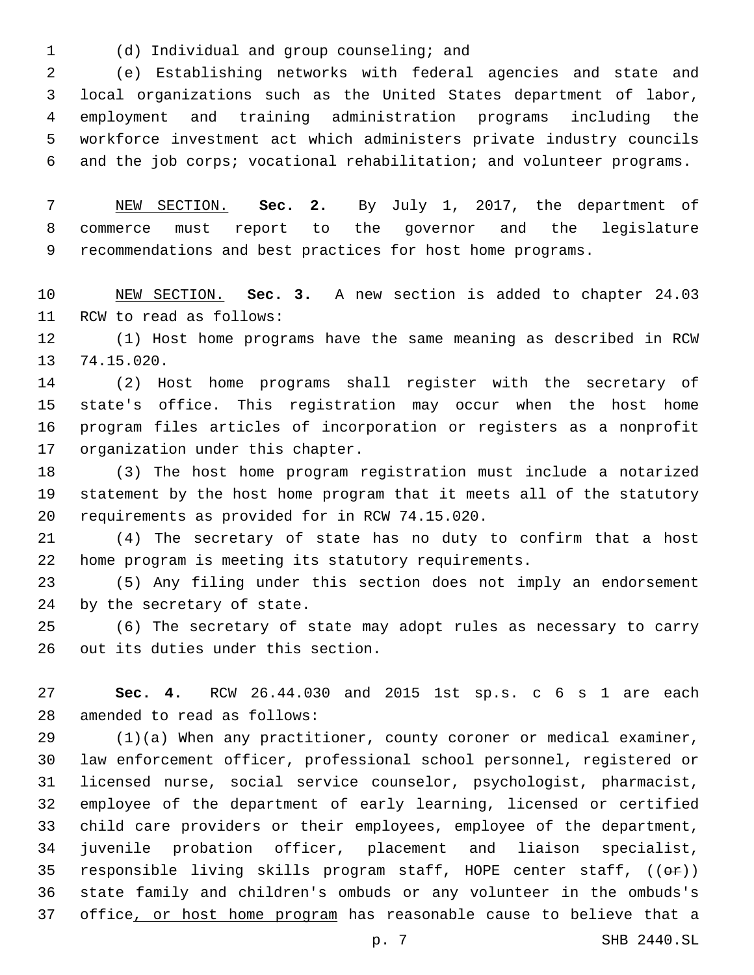(d) Individual and group counseling; and1

 (e) Establishing networks with federal agencies and state and local organizations such as the United States department of labor, employment and training administration programs including the workforce investment act which administers private industry councils and the job corps; vocational rehabilitation; and volunteer programs.

 NEW SECTION. **Sec. 2.** By July 1, 2017, the department of commerce must report to the governor and the legislature recommendations and best practices for host home programs.

 NEW SECTION. **Sec. 3.** A new section is added to chapter 24.03 11 RCW to read as follows:

 (1) Host home programs have the same meaning as described in RCW 13 74.15.020.

 (2) Host home programs shall register with the secretary of state's office. This registration may occur when the host home program files articles of incorporation or registers as a nonprofit 17 organization under this chapter.

 (3) The host home program registration must include a notarized statement by the host home program that it meets all of the statutory 20 requirements as provided for in RCW 74.15.020.

 (4) The secretary of state has no duty to confirm that a host home program is meeting its statutory requirements.

 (5) Any filing under this section does not imply an endorsement by the secretary of state.

 (6) The secretary of state may adopt rules as necessary to carry 26 out its duties under this section.

 **Sec. 4.** RCW 26.44.030 and 2015 1st sp.s. c 6 s 1 are each 28 amended to read as follows:

 (1)(a) When any practitioner, county coroner or medical examiner, law enforcement officer, professional school personnel, registered or licensed nurse, social service counselor, psychologist, pharmacist, employee of the department of early learning, licensed or certified child care providers or their employees, employee of the department, juvenile probation officer, placement and liaison specialist, 35 responsible living skills program staff, HOPE center staff,  $((\theta \cdot \hat{r}))$  state family and children's ombuds or any volunteer in the ombuds's office, or host home program has reasonable cause to believe that a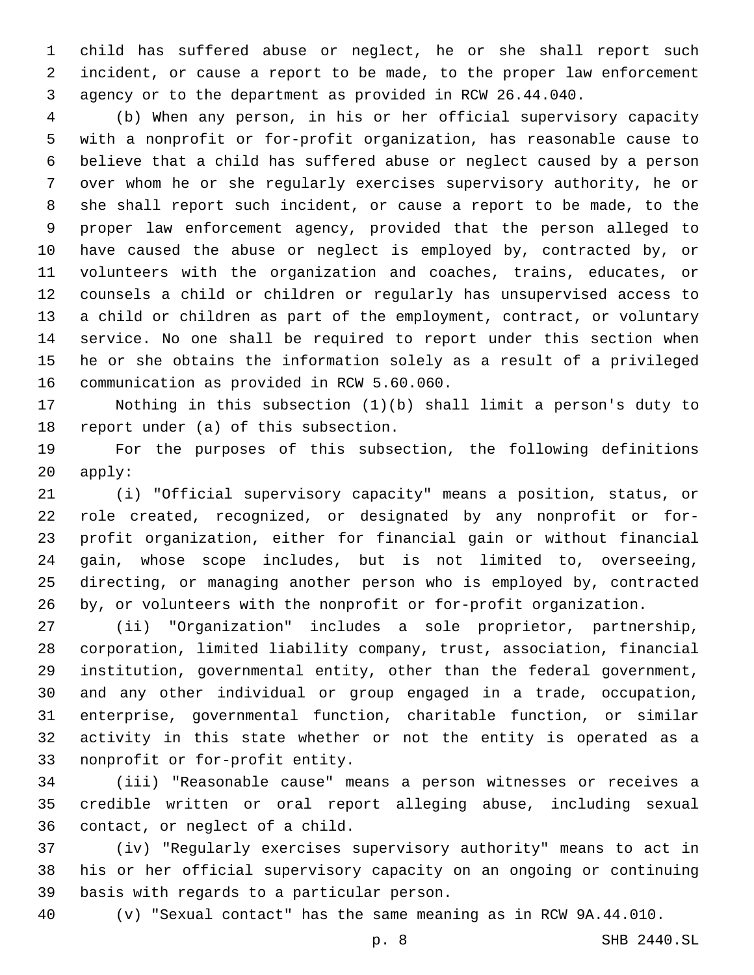child has suffered abuse or neglect, he or she shall report such incident, or cause a report to be made, to the proper law enforcement agency or to the department as provided in RCW 26.44.040.

 (b) When any person, in his or her official supervisory capacity with a nonprofit or for-profit organization, has reasonable cause to believe that a child has suffered abuse or neglect caused by a person over whom he or she regularly exercises supervisory authority, he or she shall report such incident, or cause a report to be made, to the proper law enforcement agency, provided that the person alleged to have caused the abuse or neglect is employed by, contracted by, or volunteers with the organization and coaches, trains, educates, or counsels a child or children or regularly has unsupervised access to a child or children as part of the employment, contract, or voluntary service. No one shall be required to report under this section when he or she obtains the information solely as a result of a privileged 16 communication as provided in RCW 5.60.060.

 Nothing in this subsection (1)(b) shall limit a person's duty to 18 report under (a) of this subsection.

 For the purposes of this subsection, the following definitions apply:

 (i) "Official supervisory capacity" means a position, status, or role created, recognized, or designated by any nonprofit or for- profit organization, either for financial gain or without financial gain, whose scope includes, but is not limited to, overseeing, directing, or managing another person who is employed by, contracted by, or volunteers with the nonprofit or for-profit organization.

 (ii) "Organization" includes a sole proprietor, partnership, corporation, limited liability company, trust, association, financial institution, governmental entity, other than the federal government, and any other individual or group engaged in a trade, occupation, enterprise, governmental function, charitable function, or similar activity in this state whether or not the entity is operated as a 33 nonprofit or for-profit entity.

 (iii) "Reasonable cause" means a person witnesses or receives a credible written or oral report alleging abuse, including sexual 36 contact, or neglect of a child.

 (iv) "Regularly exercises supervisory authority" means to act in his or her official supervisory capacity on an ongoing or continuing 39 basis with regards to a particular person.

(v) "Sexual contact" has the same meaning as in RCW 9A.44.010.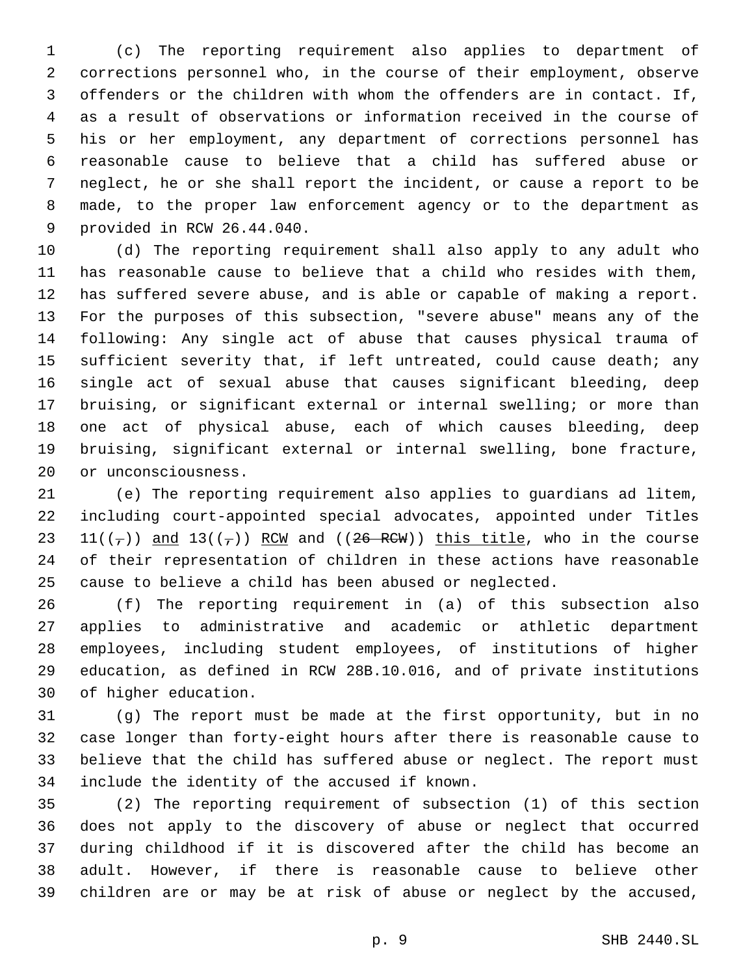(c) The reporting requirement also applies to department of corrections personnel who, in the course of their employment, observe offenders or the children with whom the offenders are in contact. If, as a result of observations or information received in the course of his or her employment, any department of corrections personnel has reasonable cause to believe that a child has suffered abuse or neglect, he or she shall report the incident, or cause a report to be made, to the proper law enforcement agency or to the department as 9 provided in RCW 26.44.040.

 (d) The reporting requirement shall also apply to any adult who has reasonable cause to believe that a child who resides with them, has suffered severe abuse, and is able or capable of making a report. For the purposes of this subsection, "severe abuse" means any of the following: Any single act of abuse that causes physical trauma of sufficient severity that, if left untreated, could cause death; any single act of sexual abuse that causes significant bleeding, deep bruising, or significant external or internal swelling; or more than one act of physical abuse, each of which causes bleeding, deep bruising, significant external or internal swelling, bone fracture, 20 or unconsciousness.

 (e) The reporting requirement also applies to guardians ad litem, including court-appointed special advocates, appointed under Titles 23 11( $(\tau)$ ) and 13( $(\tau)$ ) RCW and ((26 RCW)) this title, who in the course of their representation of children in these actions have reasonable cause to believe a child has been abused or neglected.

 (f) The reporting requirement in (a) of this subsection also applies to administrative and academic or athletic department employees, including student employees, of institutions of higher education, as defined in RCW 28B.10.016, and of private institutions 30 of higher education.

 (g) The report must be made at the first opportunity, but in no case longer than forty-eight hours after there is reasonable cause to believe that the child has suffered abuse or neglect. The report must 34 include the identity of the accused if known.

 (2) The reporting requirement of subsection (1) of this section does not apply to the discovery of abuse or neglect that occurred during childhood if it is discovered after the child has become an adult. However, if there is reasonable cause to believe other children are or may be at risk of abuse or neglect by the accused,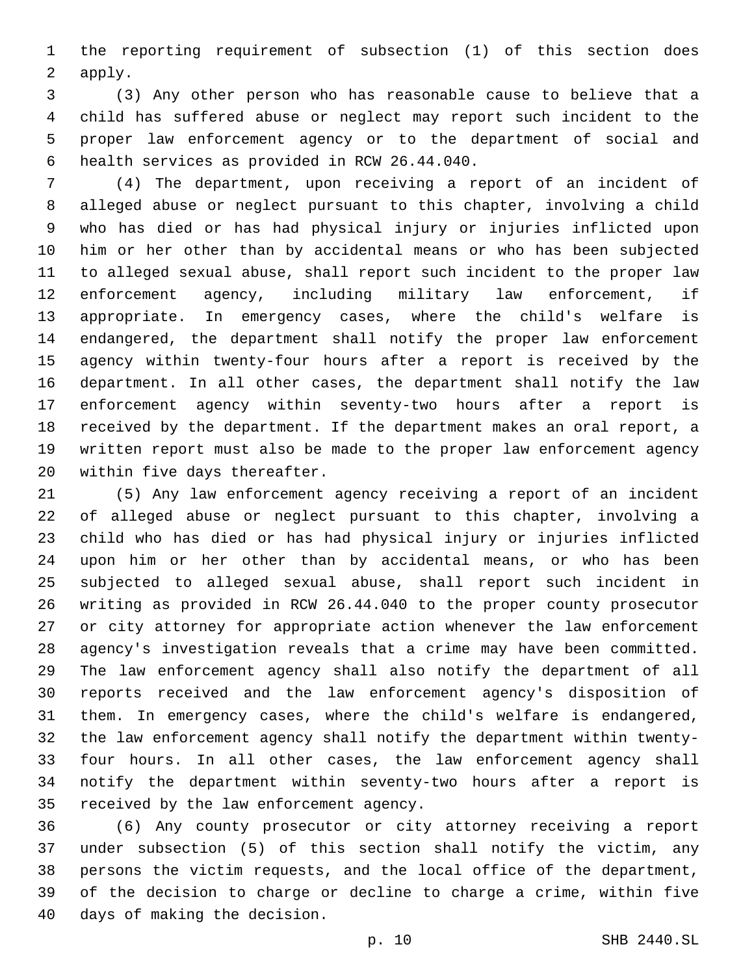the reporting requirement of subsection (1) of this section does 2 apply.

 (3) Any other person who has reasonable cause to believe that a child has suffered abuse or neglect may report such incident to the proper law enforcement agency or to the department of social and 6 health services as provided in RCW 26.44.040.

 (4) The department, upon receiving a report of an incident of alleged abuse or neglect pursuant to this chapter, involving a child who has died or has had physical injury or injuries inflicted upon him or her other than by accidental means or who has been subjected to alleged sexual abuse, shall report such incident to the proper law enforcement agency, including military law enforcement, if appropriate. In emergency cases, where the child's welfare is endangered, the department shall notify the proper law enforcement agency within twenty-four hours after a report is received by the department. In all other cases, the department shall notify the law enforcement agency within seventy-two hours after a report is received by the department. If the department makes an oral report, a written report must also be made to the proper law enforcement agency 20 within five days thereafter.

 (5) Any law enforcement agency receiving a report of an incident of alleged abuse or neglect pursuant to this chapter, involving a child who has died or has had physical injury or injuries inflicted upon him or her other than by accidental means, or who has been subjected to alleged sexual abuse, shall report such incident in writing as provided in RCW 26.44.040 to the proper county prosecutor or city attorney for appropriate action whenever the law enforcement agency's investigation reveals that a crime may have been committed. The law enforcement agency shall also notify the department of all reports received and the law enforcement agency's disposition of them. In emergency cases, where the child's welfare is endangered, the law enforcement agency shall notify the department within twenty- four hours. In all other cases, the law enforcement agency shall notify the department within seventy-two hours after a report is 35 received by the law enforcement agency.

 (6) Any county prosecutor or city attorney receiving a report under subsection (5) of this section shall notify the victim, any persons the victim requests, and the local office of the department, of the decision to charge or decline to charge a crime, within five 40 days of making the decision.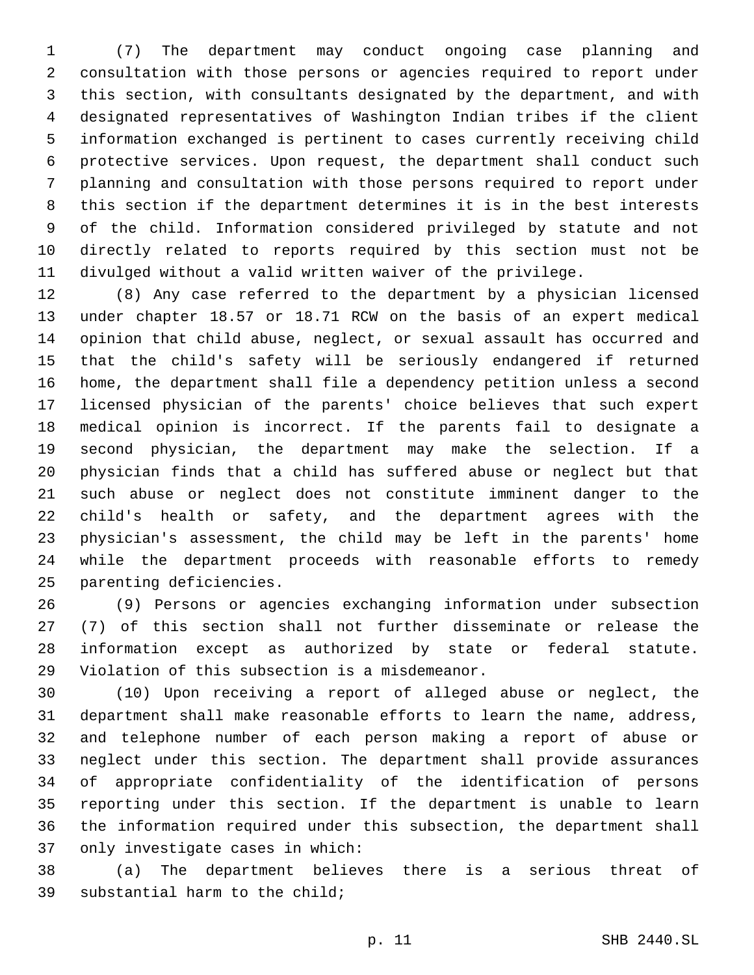(7) The department may conduct ongoing case planning and consultation with those persons or agencies required to report under this section, with consultants designated by the department, and with designated representatives of Washington Indian tribes if the client information exchanged is pertinent to cases currently receiving child protective services. Upon request, the department shall conduct such planning and consultation with those persons required to report under this section if the department determines it is in the best interests of the child. Information considered privileged by statute and not directly related to reports required by this section must not be divulged without a valid written waiver of the privilege.

 (8) Any case referred to the department by a physician licensed under chapter 18.57 or 18.71 RCW on the basis of an expert medical opinion that child abuse, neglect, or sexual assault has occurred and that the child's safety will be seriously endangered if returned home, the department shall file a dependency petition unless a second licensed physician of the parents' choice believes that such expert medical opinion is incorrect. If the parents fail to designate a second physician, the department may make the selection. If a physician finds that a child has suffered abuse or neglect but that such abuse or neglect does not constitute imminent danger to the child's health or safety, and the department agrees with the physician's assessment, the child may be left in the parents' home while the department proceeds with reasonable efforts to remedy 25 parenting deficiencies.

 (9) Persons or agencies exchanging information under subsection (7) of this section shall not further disseminate or release the information except as authorized by state or federal statute. 29 Violation of this subsection is a misdemeanor.

 (10) Upon receiving a report of alleged abuse or neglect, the department shall make reasonable efforts to learn the name, address, and telephone number of each person making a report of abuse or neglect under this section. The department shall provide assurances of appropriate confidentiality of the identification of persons reporting under this section. If the department is unable to learn the information required under this subsection, the department shall 37 only investigate cases in which:

 (a) The department believes there is a serious threat of 39 substantial harm to the child;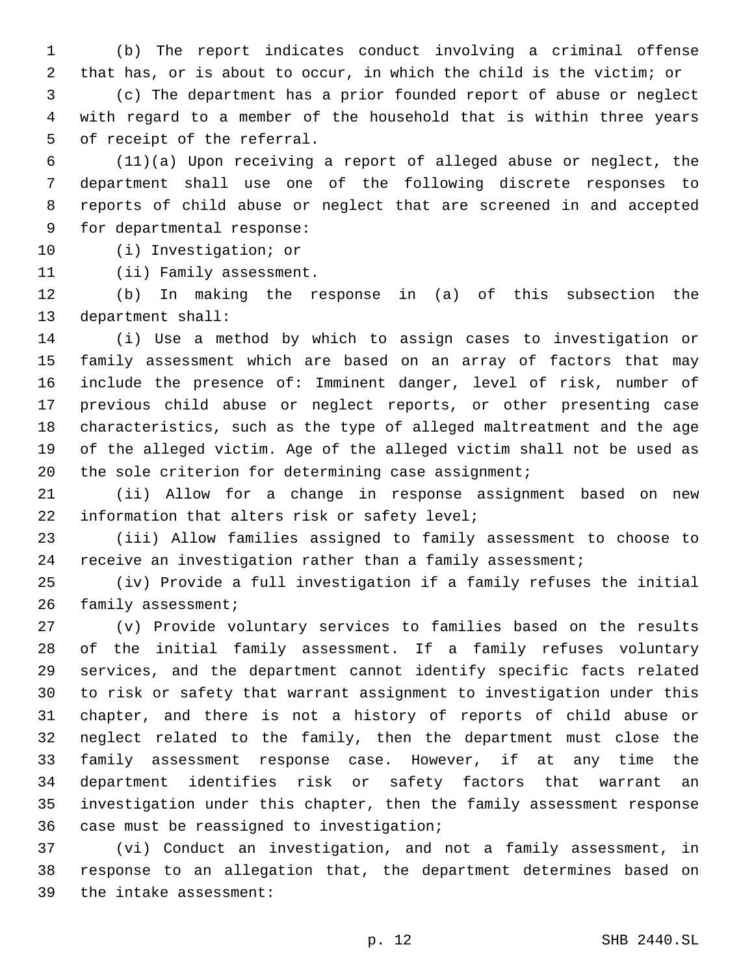(b) The report indicates conduct involving a criminal offense that has, or is about to occur, in which the child is the victim; or (c) The department has a prior founded report of abuse or neglect

 with regard to a member of the household that is within three years 5 of receipt of the referral.

 (11)(a) Upon receiving a report of alleged abuse or neglect, the department shall use one of the following discrete responses to reports of child abuse or neglect that are screened in and accepted 9 for departmental response:

10 (i) Investigation; or

11 (ii) Family assessment.

 (b) In making the response in (a) of this subsection the 13 department shall:

 (i) Use a method by which to assign cases to investigation or family assessment which are based on an array of factors that may include the presence of: Imminent danger, level of risk, number of previous child abuse or neglect reports, or other presenting case characteristics, such as the type of alleged maltreatment and the age of the alleged victim. Age of the alleged victim shall not be used as 20 the sole criterion for determining case assignment;

 (ii) Allow for a change in response assignment based on new 22 information that alters risk or safety level;

 (iii) Allow families assigned to family assessment to choose to receive an investigation rather than a family assessment;

 (iv) Provide a full investigation if a family refuses the initial 26 family assessment;

 (v) Provide voluntary services to families based on the results of the initial family assessment. If a family refuses voluntary services, and the department cannot identify specific facts related to risk or safety that warrant assignment to investigation under this chapter, and there is not a history of reports of child abuse or neglect related to the family, then the department must close the family assessment response case. However, if at any time the department identifies risk or safety factors that warrant an investigation under this chapter, then the family assessment response 36 case must be reassigned to investigation;

 (vi) Conduct an investigation, and not a family assessment, in response to an allegation that, the department determines based on 39 the intake assessment: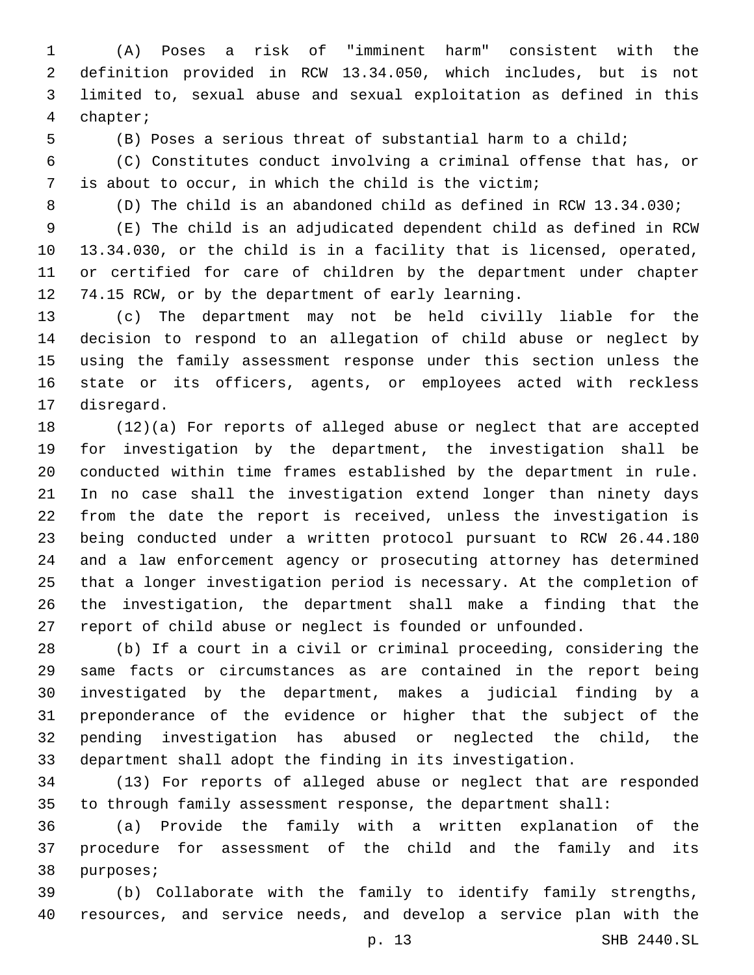(A) Poses a risk of "imminent harm" consistent with the definition provided in RCW 13.34.050, which includes, but is not limited to, sexual abuse and sexual exploitation as defined in this chapter;4

(B) Poses a serious threat of substantial harm to a child;

 (C) Constitutes conduct involving a criminal offense that has, or is about to occur, in which the child is the victim;

(D) The child is an abandoned child as defined in RCW 13.34.030;

 (E) The child is an adjudicated dependent child as defined in RCW 13.34.030, or the child is in a facility that is licensed, operated, or certified for care of children by the department under chapter 74.15 RCW, or by the department of early learning.

 (c) The department may not be held civilly liable for the decision to respond to an allegation of child abuse or neglect by using the family assessment response under this section unless the state or its officers, agents, or employees acted with reckless 17 disregard.

 (12)(a) For reports of alleged abuse or neglect that are accepted for investigation by the department, the investigation shall be conducted within time frames established by the department in rule. In no case shall the investigation extend longer than ninety days from the date the report is received, unless the investigation is being conducted under a written protocol pursuant to RCW 26.44.180 and a law enforcement agency or prosecuting attorney has determined that a longer investigation period is necessary. At the completion of the investigation, the department shall make a finding that the report of child abuse or neglect is founded or unfounded.

 (b) If a court in a civil or criminal proceeding, considering the same facts or circumstances as are contained in the report being investigated by the department, makes a judicial finding by a preponderance of the evidence or higher that the subject of the pending investigation has abused or neglected the child, the department shall adopt the finding in its investigation.

 (13) For reports of alleged abuse or neglect that are responded to through family assessment response, the department shall:

 (a) Provide the family with a written explanation of the procedure for assessment of the child and the family and its 38 purposes;

 (b) Collaborate with the family to identify family strengths, resources, and service needs, and develop a service plan with the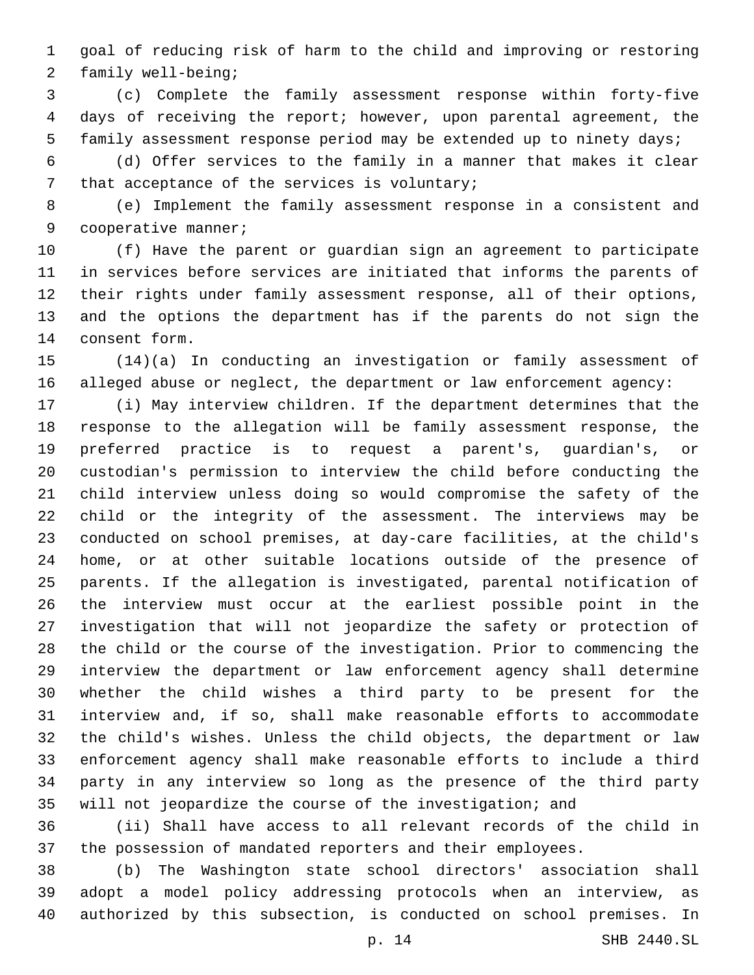goal of reducing risk of harm to the child and improving or restoring 2 family well-being;

 (c) Complete the family assessment response within forty-five days of receiving the report; however, upon parental agreement, the family assessment response period may be extended up to ninety days;

 (d) Offer services to the family in a manner that makes it clear 7 that acceptance of the services is voluntary;

 (e) Implement the family assessment response in a consistent and 9 cooperative manner;

 (f) Have the parent or guardian sign an agreement to participate in services before services are initiated that informs the parents of their rights under family assessment response, all of their options, and the options the department has if the parents do not sign the 14 consent form.

 (14)(a) In conducting an investigation or family assessment of alleged abuse or neglect, the department or law enforcement agency:

 (i) May interview children. If the department determines that the response to the allegation will be family assessment response, the preferred practice is to request a parent's, guardian's, or custodian's permission to interview the child before conducting the child interview unless doing so would compromise the safety of the child or the integrity of the assessment. The interviews may be conducted on school premises, at day-care facilities, at the child's home, or at other suitable locations outside of the presence of parents. If the allegation is investigated, parental notification of the interview must occur at the earliest possible point in the investigation that will not jeopardize the safety or protection of the child or the course of the investigation. Prior to commencing the interview the department or law enforcement agency shall determine whether the child wishes a third party to be present for the interview and, if so, shall make reasonable efforts to accommodate the child's wishes. Unless the child objects, the department or law enforcement agency shall make reasonable efforts to include a third party in any interview so long as the presence of the third party will not jeopardize the course of the investigation; and

 (ii) Shall have access to all relevant records of the child in the possession of mandated reporters and their employees.

 (b) The Washington state school directors' association shall adopt a model policy addressing protocols when an interview, as authorized by this subsection, is conducted on school premises. In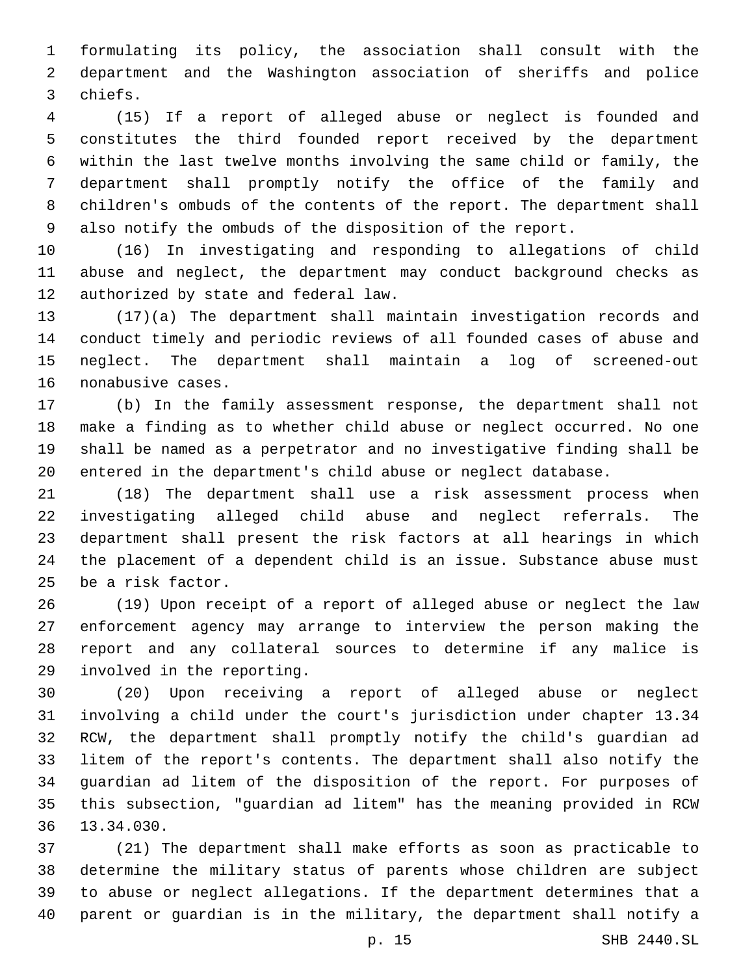formulating its policy, the association shall consult with the department and the Washington association of sheriffs and police 3 chiefs.

 (15) If a report of alleged abuse or neglect is founded and constitutes the third founded report received by the department within the last twelve months involving the same child or family, the department shall promptly notify the office of the family and children's ombuds of the contents of the report. The department shall also notify the ombuds of the disposition of the report.

 (16) In investigating and responding to allegations of child abuse and neglect, the department may conduct background checks as 12 authorized by state and federal law.

 (17)(a) The department shall maintain investigation records and conduct timely and periodic reviews of all founded cases of abuse and neglect. The department shall maintain a log of screened-out 16 nonabusive cases.

 (b) In the family assessment response, the department shall not make a finding as to whether child abuse or neglect occurred. No one shall be named as a perpetrator and no investigative finding shall be entered in the department's child abuse or neglect database.

 (18) The department shall use a risk assessment process when investigating alleged child abuse and neglect referrals. The department shall present the risk factors at all hearings in which the placement of a dependent child is an issue. Substance abuse must 25 be a risk factor.

 (19) Upon receipt of a report of alleged abuse or neglect the law enforcement agency may arrange to interview the person making the report and any collateral sources to determine if any malice is 29 involved in the reporting.

 (20) Upon receiving a report of alleged abuse or neglect involving a child under the court's jurisdiction under chapter 13.34 RCW, the department shall promptly notify the child's guardian ad litem of the report's contents. The department shall also notify the guardian ad litem of the disposition of the report. For purposes of this subsection, "guardian ad litem" has the meaning provided in RCW 36 13.34.030.

 (21) The department shall make efforts as soon as practicable to determine the military status of parents whose children are subject to abuse or neglect allegations. If the department determines that a parent or guardian is in the military, the department shall notify a